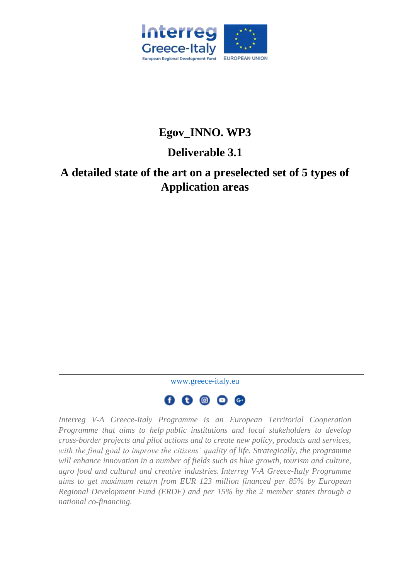

# **Egov\_INNO. WP3**

# **Deliverable 3.1**

# **A detailed state of the art on a preselected set of 5 types of Application areas**

[www.greece-italy.eu](http://www.greece-italy.eu/)



*Interreg V-A Greece-Italy Programme is an European Territorial Cooperation Programme that aims to help public institutions and local stakeholders to develop cross-border projects and pilot actions and to create new policy, products and services, with the final goal to improve the citizens' quality of life. Strategically, the programme*  will enhance innovation in a number of fields such as blue growth, tourism and culture, *agro food and cultural and creative industries. Interreg V-A Greece-Italy Programme aims to get maximum return from EUR 123 million financed per 85% by European Regional Development Fund (ERDF) and per 15% by the 2 member states through a national co-financing.*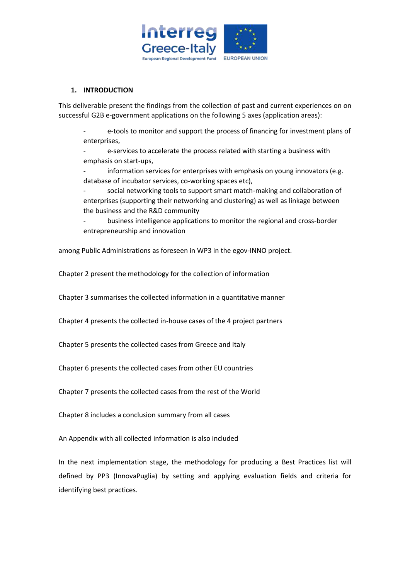

# **1. INTRODUCTION**

This deliverable present the findings from the collection of past and current experiences on on successful G2B e-government applications on the following 5 axes (application areas):

e-tools to monitor and support the process of financing for investment plans of enterprises,

- e-services to accelerate the process related with starting a business with emphasis on start-ups,

- information services for enterprises with emphasis on young innovators (e.g. database of incubator services, co-working spaces etc),

- social networking tools to support smart match-making and collaboration of enterprises (supporting their networking and clustering) as well as linkage between the business and the R&D community

- business intelligence applications to monitor the regional and cross-border entrepreneurship and innovation

among Public Administrations as foreseen in WP3 in the egov-INNO project.

Chapter 2 present the methodology for the collection of information

Chapter 3 summarises the collected information in a quantitative manner

Chapter 4 presents the collected in-house cases of the 4 project partners

Chapter 5 presents the collected cases from Greece and Italy

Chapter 6 presents the collected cases from other EU countries

Chapter 7 presents the collected cases from the rest of the World

Chapter 8 includes a conclusion summary from all cases

An Appendix with all collected information is also included

In the next implementation stage, the methodology for producing a Best Practices list will defined by PP3 (InnovaPuglia) by setting and applying evaluation fields and criteria for identifying best practices.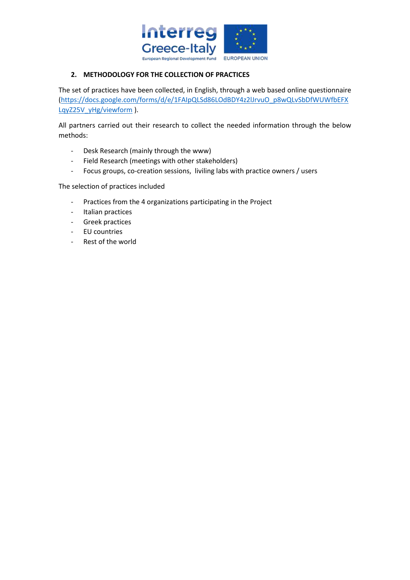

# **2. METHODOLOGY FOR THE COLLECTION OF PRACTICES**

The set of practices have been collected, in English, through a web based online questionnaire [\(https://docs.google.com/forms/d/e/1FAIpQLSd86LOdBDY4z2lJrvuO\\_p8wQLvSbDfWUWfbEFX](https://docs.google.com/forms/d/e/1FAIpQLSd86LOdBDY4z2lJrvuO_p8wQLvSbDfWUWfbEFXLqyZ25V_yHg/viewform) [LqyZ25V\\_yHg/viewform](https://docs.google.com/forms/d/e/1FAIpQLSd86LOdBDY4z2lJrvuO_p8wQLvSbDfWUWfbEFXLqyZ25V_yHg/viewform) ).

All partners carried out their research to collect the needed information through the below methods:

- Desk Research (mainly through the www)
- Field Research (meetings with other stakeholders)
- Focus groups, co-creation sessions, liviling labs with practice owners / users

The selection of practices included

- Practices from the 4 organizations participating in the Project
- Italian practices
- Greek practices
- EU countries
- Rest of the world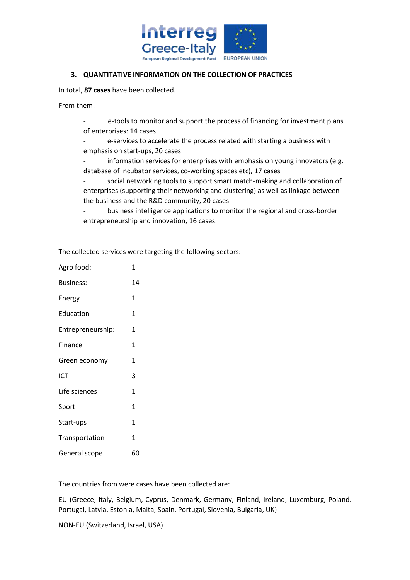

## **3. QUANTITATIVE INFORMATION ON THE COLLECTION OF PRACTICES**

In total, **87 cases** have been collected.

From them:

- e-tools to monitor and support the process of financing for investment plans of enterprises: 14 cases

- e-services to accelerate the process related with starting a business with emphasis on start-ups, 20 cases

- information services for enterprises with emphasis on young innovators (e.g. database of incubator services, co-working spaces etc), 17 cases

- social networking tools to support smart match-making and collaboration of enterprises (supporting their networking and clustering) as well as linkage between the business and the R&D community, 20 cases

- business intelligence applications to monitor the regional and cross-border entrepreneurship and innovation, 16 cases.

| Agro food:        | 1  |
|-------------------|----|
| <b>Business:</b>  | 14 |
| Energy            | 1  |
| Education         | 1  |
| Entrepreneurship: | 1  |
| Finance           | 1  |
| Green economy     | 1  |
| ICT               | 3  |
| Life sciences     | 1  |
| Sport             | 1  |
| Start-ups         | 1  |
| Transportation    | 1  |
| General scope     | 60 |

The collected services were targeting the following sectors:

The countries from were cases have been collected are:

EU (Greece, Italy, Belgium, Cyprus, Denmark, Germany, Finland, Ireland, Luxemburg, Poland, Portugal, Latvia, Estonia, Malta, Spain, Portugal, Slovenia, Bulgaria, UK)

NON-EU (Switzerland, Israel, USA)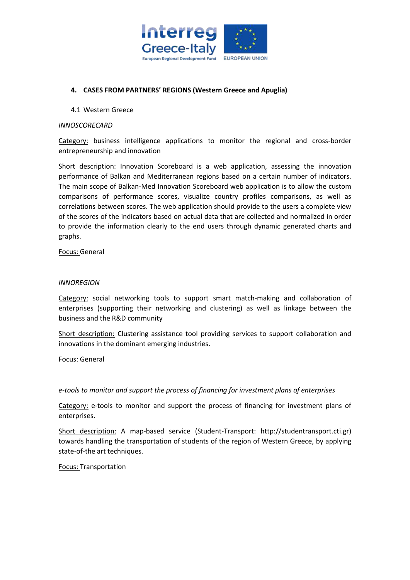

# **4. CASES FROM PARTNERS' REGIONS (Western Greece and Apuglia)**

#### 4.1 Western Greece

#### *INNOSCORECARD*

Category: business intelligence applications to monitor the regional and cross-border entrepreneurship and innovation

Short description: Innovation Scoreboard is a web application, assessing the innovation performance of Balkan and Mediterranean regions based on a certain number of indicators. The main scope of Balkan-Med Innovation Scoreboard web application is to allow the custom comparisons of performance scores, visualize country profiles comparisons, as well as correlations between scores. The web application should provide to the users a complete view of the scores of the indicators based on actual data that are collected and normalized in order to provide the information clearly to the end users through dynamic generated charts and graphs.

Focus: General

#### *INNOREGION*

Category: social networking tools to support smart match-making and collaboration of enterprises (supporting their networking and clustering) as well as linkage between the business and the R&D community

Short description: Clustering assistance tool providing services to support collaboration and innovations in the dominant emerging industries.

Focus: General

*e-tools to monitor and support the process of financing for investment plans of enterprises*

Category: e-tools to monitor and support the process of financing for investment plans of enterprises.

Short description: A map-based service (Student-Transport: http://studentransport.cti.gr) towards handling the transportation of students of the region of Western Greece, by applying state-of-the art techniques.

Focus: Transportation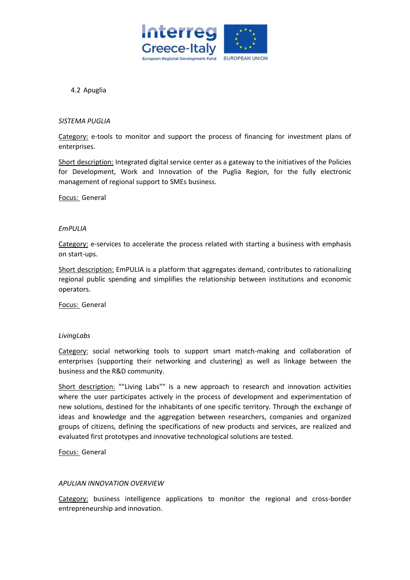

4.2 Apuglia

#### *SISTEMA PUGLIA*

Category: e-tools to monitor and support the process of financing for investment plans of enterprises.

Short description: Integrated digital service center as a gateway to the initiatives of the Policies for Development, Work and Innovation of the Puglia Region, for the fully electronic management of regional support to SMEs business.

Focus: General

#### *EmPULIA*

Category: e-services to accelerate the process related with starting a business with emphasis on start-ups.

Short description: EmPULIA is a platform that aggregates demand, contributes to rationalizing regional public spending and simplifies the relationship between institutions and economic operators.

Focus: General

#### *LivingLabs*

Category: social networking tools to support smart match-making and collaboration of enterprises (supporting their networking and clustering) as well as linkage between the business and the R&D community.

Short description: ""Living Labs"" is a new approach to research and innovation activities where the user participates actively in the process of development and experimentation of new solutions, destined for the inhabitants of one specific territory. Through the exchange of ideas and knowledge and the aggregation between researchers, companies and organized groups of citizens, defining the specifications of new products and services, are realized and evaluated first prototypes and innovative technological solutions are tested.

Focus: General

#### *APULIAN INNOVATION OVERVIEW*

Category: business intelligence applications to monitor the regional and cross-border entrepreneurship and innovation.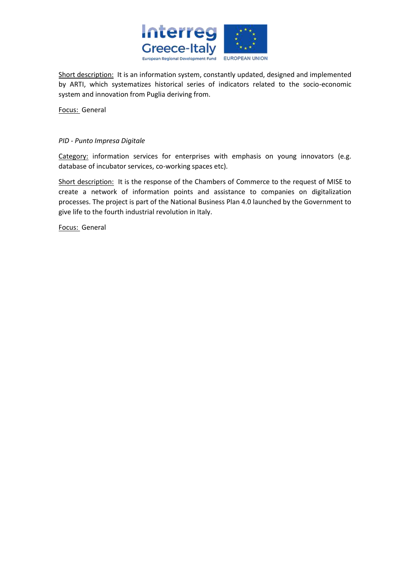

Short description: It is an information system, constantly updated, designed and implemented by ARTI, which systematizes historical series of indicators related to the socio-economic system and innovation from Puglia deriving from.

Focus: General

## *PID - Punto Impresa Digitale*

Category: information services for enterprises with emphasis on young innovators (e.g. database of incubator services, co-working spaces etc).

Short description: It is the response of the Chambers of Commerce to the request of MISE to create a network of information points and assistance to companies on digitalization processes. The project is part of the National Business Plan 4.0 launched by the Government to give life to the fourth industrial revolution in Italy.

Focus: General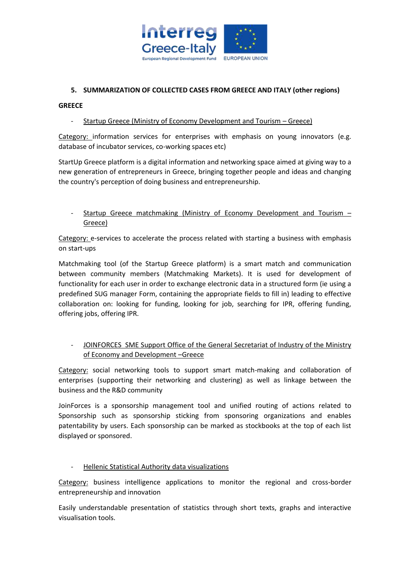

# **5. SUMMARIZATION OF COLLECTED CASES FROM GREECE AND ITALY (other regions)**

## **GREECE**

# - Startup Greece (Ministry of Economy Development and Tourism – Greece)

Category: information services for enterprises with emphasis on young innovators (e.g. database of incubator services, co-working spaces etc)

StartUp Greece platform is a digital information and networking space aimed at giving way to a new generation of entrepreneurs in Greece, bringing together people and ideas and changing the country's perception of doing business and entrepreneurship.

Startup Greece matchmaking (Ministry of Economy Development and Tourism -Greece)

Category: e-services to accelerate the process related with starting a business with emphasis on start-ups

Matchmaking tool (of the Startup Greece platform) is a smart match and communication between community members (Matchmaking Markets). It is used for development of functionality for each user in order to exchange electronic data in a structured form (ie using a predefined SUG manager Form, containing the appropriate fields to fill in) leading to effective collaboration on: looking for funding, looking for job, searching for IPR, offering funding, offering jobs, offering IPR.

# JOINFORCES SME Support Office of the General Secretariat of Industry of the Ministry of Economy and Development –Greece

Category: social networking tools to support smart match-making and collaboration of enterprises (supporting their networking and clustering) as well as linkage between the business and the R&D community

JoinForces is a sponsorship management tool and unified routing of actions related to Sponsorship such as sponsorship sticking from sponsoring organizations and enables patentability by users. Each sponsorship can be marked as stockbooks at the top of each list displayed or sponsored.

# - Hellenic Statistical Authority data visualizations

Category: business intelligence applications to monitor the regional and cross-border entrepreneurship and innovation

Easily understandable presentation of statistics through short texts, graphs and interactive visualisation tools.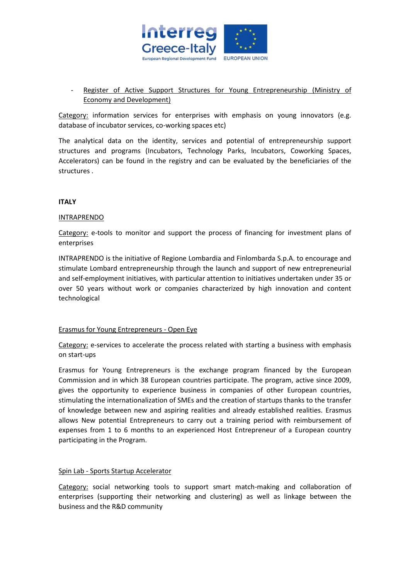

# Register of Active Support Structures for Young Entrepreneurship (Ministry of Economy and Development)

Category: information services for enterprises with emphasis on young innovators (e.g. database of incubator services, co-working spaces etc)

The analytical data on the identity, services and potential of entrepreneurship support structures and programs (Incubators, Technology Parks, Incubators, Coworking Spaces, Accelerators) can be found in the registry and can be evaluated by the beneficiaries of the structures .

## **ITALY**

## INTRAPRENDO

Category: e-tools to monitor and support the process of financing for investment plans of enterprises

INTRAPRENDO is the initiative of Regione Lombardia and Finlombarda S.p.A. to encourage and stimulate Lombard entrepreneurship through the launch and support of new entrepreneurial and self-employment initiatives, with particular attention to initiatives undertaken under 35 or over 50 years without work or companies characterized by high innovation and content technological

## Erasmus for Young Entrepreneurs - Open Eye

Category: e-services to accelerate the process related with starting a business with emphasis on start-ups

Erasmus for Young Entrepreneurs is the exchange program financed by the European Commission and in which 38 European countries participate. The program, active since 2009, gives the opportunity to experience business in companies of other European countries, stimulating the internationalization of SMEs and the creation of startups thanks to the transfer of knowledge between new and aspiring realities and already established realities. Erasmus allows New potential Entrepreneurs to carry out a training period with reimbursement of expenses from 1 to 6 months to an experienced Host Entrepreneur of a European country participating in the Program.

## Spin Lab - Sports Startup Accelerator

Category: social networking tools to support smart match-making and collaboration of enterprises (supporting their networking and clustering) as well as linkage between the business and the R&D community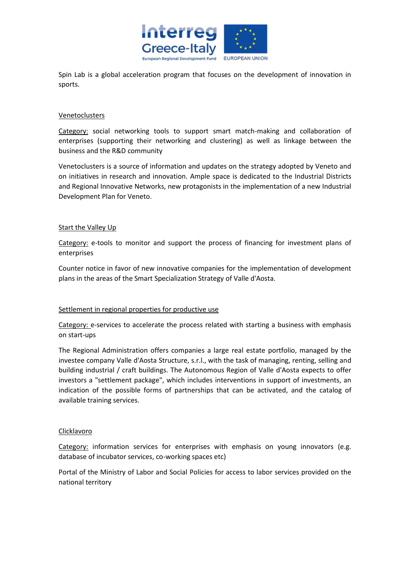

Spin Lab is a global acceleration program that focuses on the development of innovation in sports.

## Venetoclusters

Category: social networking tools to support smart match-making and collaboration of enterprises (supporting their networking and clustering) as well as linkage between the business and the R&D community

Venetoclusters is a source of information and updates on the strategy adopted by Veneto and on initiatives in research and innovation. Ample space is dedicated to the Industrial Districts and Regional Innovative Networks, new protagonists in the implementation of a new Industrial Development Plan for Veneto.

## Start the Valley Up

Category: e-tools to monitor and support the process of financing for investment plans of enterprises

Counter notice in favor of new innovative companies for the implementation of development plans in the areas of the Smart Specialization Strategy of Valle d'Aosta.

## Settlement in regional properties for productive use

Category: e-services to accelerate the process related with starting a business with emphasis on start-ups

The Regional Administration offers companies a large real estate portfolio, managed by the investee company Valle d'Aosta Structure, s.r.l., with the task of managing, renting, selling and building industrial / craft buildings. The Autonomous Region of Valle d'Aosta expects to offer investors a "settlement package", which includes interventions in support of investments, an indication of the possible forms of partnerships that can be activated, and the catalog of available training services.

## **Clicklavoro**

Category: information services for enterprises with emphasis on young innovators (e.g. database of incubator services, co-working spaces etc)

Portal of the Ministry of Labor and Social Policies for access to labor services provided on the national territory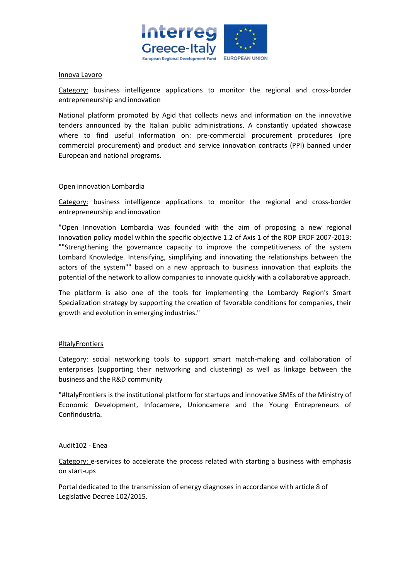

#### Innova Lavoro

Category: business intelligence applications to monitor the regional and cross-border entrepreneurship and innovation

National platform promoted by Agid that collects news and information on the innovative tenders announced by the Italian public administrations. A constantly updated showcase where to find useful information on: pre-commercial procurement procedures (pre commercial procurement) and product and service innovation contracts (PPI) banned under European and national programs.

#### Open innovation Lombardia

Category: business intelligence applications to monitor the regional and cross-border entrepreneurship and innovation

"Open Innovation Lombardia was founded with the aim of proposing a new regional innovation policy model within the specific objective 1.2 of Axis 1 of the ROP ERDF 2007-2013: ""Strengthening the governance capacity to improve the competitiveness of the system Lombard Knowledge. Intensifying, simplifying and innovating the relationships between the actors of the system"" based on a new approach to business innovation that exploits the potential of the network to allow companies to innovate quickly with a collaborative approach.

The platform is also one of the tools for implementing the Lombardy Region's Smart Specialization strategy by supporting the creation of favorable conditions for companies, their growth and evolution in emerging industries."

## #ItalyFrontiers

Category: social networking tools to support smart match-making and collaboration of enterprises (supporting their networking and clustering) as well as linkage between the business and the R&D community

"#ItalyFrontiers is the institutional platform for startups and innovative SMEs of the Ministry of Economic Development, Infocamere, Unioncamere and the Young Entrepreneurs of Confindustria.

#### Audit102 - Enea

Category: e-services to accelerate the process related with starting a business with emphasis on start-ups

Portal dedicated to the transmission of energy diagnoses in accordance with article 8 of Legislative Decree 102/2015.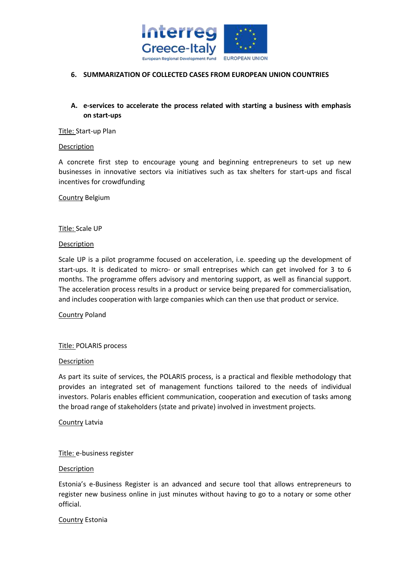

## **6. SUMMARIZATION OF COLLECTED CASES FROM EUROPEAN UNION COUNTRIES**

# **A. e-services to accelerate the process related with starting a business with emphasis on start-ups**

#### Title: Start-up Plan

#### Description

A concrete first step to encourage young and beginning entrepreneurs to set up new businesses in innovative sectors via initiatives such as tax shelters for start-ups and fiscal incentives for crowdfunding

Country Belgium

#### Title: Scale UP

#### **Description**

Scale UP is a pilot programme focused on acceleration, i.e. speeding up the development of start-ups. It is dedicated to micro- or small entreprises which can get involved for 3 to 6 months. The programme offers advisory and mentoring support, as well as financial support. The acceleration process results in a product or service being prepared for commercialisation, and includes cooperation with large companies which can then use that product or service.

#### Country Poland

## Title: POLARIS process

#### Description

As part its suite of services, the POLARIS process, is a practical and flexible methodology that provides an integrated set of management functions tailored to the needs of individual investors. Polaris enables efficient communication, cooperation and execution of tasks among the broad range of stakeholders (state and private) involved in investment projects.

#### Country Latvia

## Title: e-business register

#### Description

Estonia's e-Business Register is an advanced and secure tool that allows entrepreneurs to register new business online in just minutes without having to go to a notary or some other official.

#### Country Estonia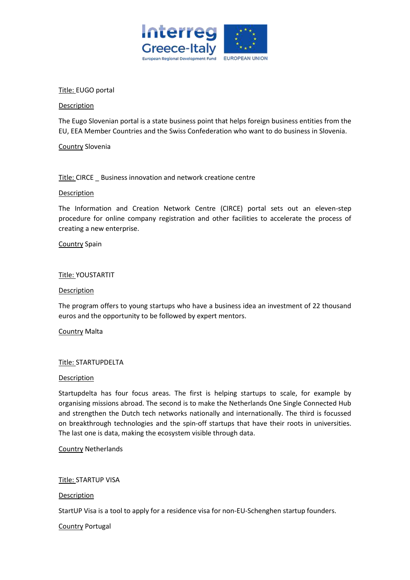

## Title: EUGO portal

## Description

The Eugo Slovenian portal is a state business point that helps foreign business entities from the EU, EEA Member Countries and the Swiss Confederation who want to do business in Slovenia.

Country Slovenia

## Title: CIRCE \_ Business innovation and network creatione centre

#### Description

The Information and Creation Network Centre (CIRCE) portal sets out an eleven-step procedure for online company registration and other facilities to accelerate the process of creating a new enterprise.

#### Country Spain

#### Title: YOUSTARTIT

#### Description

The program offers to young startups who have a business idea an investment of 22 thousand euros and the opportunity to be followed by expert mentors.

## Country Malta

## Title: STARTUPDELTA

#### Description

Startupdelta has four focus areas. The first is helping startups to scale, for example by organising missions abroad. The second is to make the Netherlands One Single Connected Hub and strengthen the Dutch tech networks nationally and internationally. The third is focussed on breakthrough technologies and the spin-off startups that have their roots in universities. The last one is data, making the ecosystem visible through data.

Country Netherlands

Title: STARTUP VISA

Description

StartUP Visa is a tool to apply for a residence visa for non-EU-Schenghen startup founders.

Country Portugal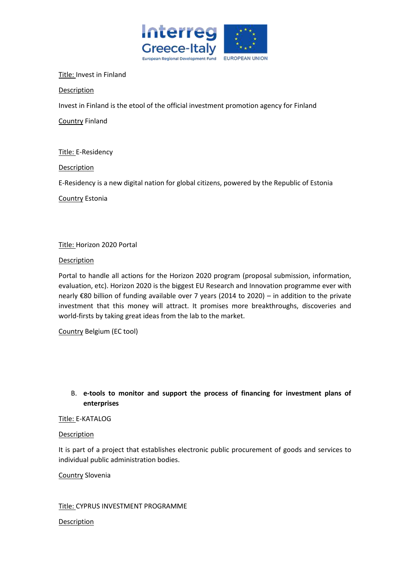

## Title: Invest in Finland

Description

Invest in Finland is the etool of the official investment promotion agency for Finland

Country Finland

Title: E-Residency

Description

E-Residency is a new digital nation for global citizens, powered by the Republic of Estonia

Country Estonia

# Title: Horizon 2020 Portal

## **Description**

Portal to handle all actions for the Horizon 2020 program (proposal submission, information, evaluation, etc). Horizon 2020 is the biggest EU Research and Innovation programme ever with nearly €80 billion of funding available over 7 years (2014 to 2020) – in addition to the private investment that this money will attract. It promises more breakthroughs, discoveries and world-firsts by taking great ideas from the lab to the market.

Country Belgium (EC tool)

# B. **e-tools to monitor and support the process of financing for investment plans of enterprises**

## Title: E-KATALOG

## Description

It is part of a project that establishes electronic public procurement of goods and services to individual public administration bodies.

Country Slovenia

## Title: CYPRUS INVESTMENT PROGRAMME

# **Description**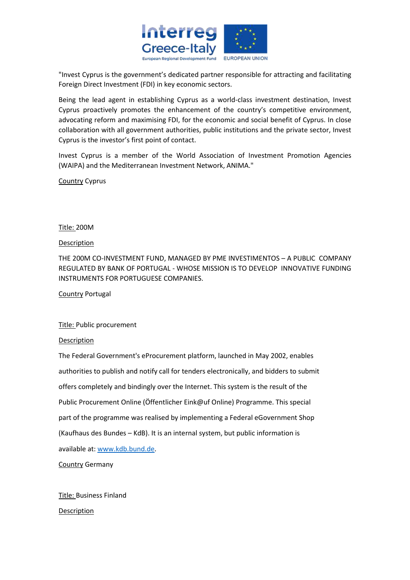

"Invest Cyprus is the government's dedicated partner responsible for attracting and facilitating Foreign Direct Investment (FDI) in key economic sectors.

Being the lead agent in establishing Cyprus as a world-class investment destination, Invest Cyprus proactively promotes the enhancement of the country's competitive environment, advocating reform and maximising FDI, for the economic and social benefit of Cyprus. In close collaboration with all government authorities, public institutions and the private sector, Invest Cyprus is the investor's first point of contact.

Invest Cyprus is a member of the World Association of Investment Promotion Agencies (WAIPA) and the Mediterranean Investment Network, ANIMA."

Country Cyprus

## Title: 200M

## Description

THE 200M CO-INVESTMENT FUND, MANAGED BY PME INVESTIMENTOS – A PUBLIC COMPANY REGULATED BY BANK OF PORTUGAL - WHOSE MISSION IS TO DEVELOP INNOVATIVE FUNDING INSTRUMENTS FOR PORTUGUESE COMPANIES.

Country Portugal

# Title: Public procurement

## Description

The Federal Government's eProcurement platform, launched in May 2002, enables authorities to publish and notify call for tenders electronically, and bidders to submit offers completely and bindingly over the Internet. This system is the result of the Public Procurement Online (Öffentlicher Eink@uf Online) Programme. This special part of the programme was realised by implementing a Federal eGovernment Shop (Kaufhaus des Bundes – KdB). It is an internal system, but public information is available at[: www.kdb.bund.de.](http://www.kdb.bund.de/)

Country Germany

Title: Business Finland Description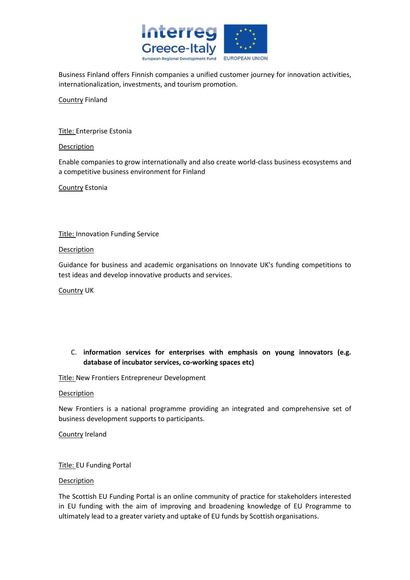

Business Finland offers Finnish companies a unified customer journey for innovation activities, internationalization, investments, and tourism promotion.

Country Finland

Title: Enterprise Estonia

## Description

Enable companies to grow internationally and also create world-class business ecosystems and a competitive business environment for Finland

Country Estonia

Title: Innovation Funding Service

## Description

Guidance for business and academic organisations on Innovate UK's funding competitions to test ideas and develop innovative products and services.

Country UK

# C. **information services for enterprises with emphasis on young innovators (e.g. database of incubator services, co-working spaces etc)**

Title: New Frontiers Entrepreneur Development

## Description

New Frontiers is a national programme providing an integrated and comprehensive set of business development supports to participants.

Country Ireland

# Title: EU Funding Portal

## Description

The Scottish EU Funding Portal is an online community of practice for stakeholders interested in EU funding with the aim of improving and broadening knowledge of EU Programme to ultimately lead to a greater variety and uptake of EU funds by Scottish organisations.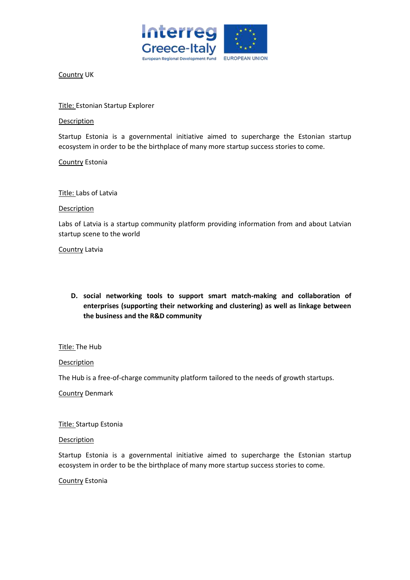

Country UK

Title: Estonian Startup Explorer

Description

Startup Estonia is a governmental initiative aimed to supercharge the Estonian startup ecosystem in order to be the birthplace of many more startup success stories to come.

Country Estonia

Title: Labs of Latvia

#### Description

Labs of Latvia is a startup community platform providing information from and about Latvian startup scene to the world

Country Latvia

**D. social networking tools to support smart match-making and collaboration of enterprises (supporting their networking and clustering) as well as linkage between the business and the R&D community**

## Title: The Hub

## **Description**

The Hub is a free-of-charge community platform tailored to the needs of growth startups.

Country Denmark

Title: Startup Estonia

## **Description**

Startup Estonia is a governmental initiative aimed to supercharge the Estonian startup ecosystem in order to be the birthplace of many more startup success stories to come.

Country Estonia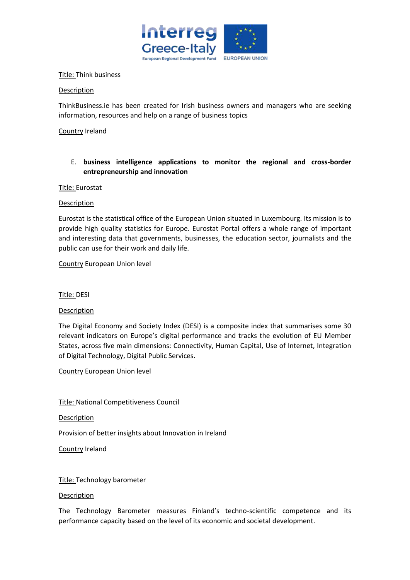

## Title: Think business

## Description

ThinkBusiness.ie has been created for Irish business owners and managers who are seeking information, resources and help on a range of business topics

Country Ireland

# E. **business intelligence applications to monitor the regional and cross-border entrepreneurship and innovation**

## Title: Eurostat

## Description

Eurostat is the statistical office of the European Union situated in Luxembourg. Its mission is to provide high quality statistics for Europe. Eurostat Portal offers a whole range of important and interesting data that governments, businesses, the education sector, journalists and the public can use for their work and daily life.

Country European Union level

Title: DESI

## Description

The Digital Economy and Society Index (DESI) is a composite index that summarises some 30 relevant indicators on Europe's digital performance and tracks the evolution of EU Member States, across five main dimensions: Connectivity, Human Capital, Use of Internet, Integration of Digital Technology, Digital Public Services.

Country European Union level

Title: National Competitiveness Council

Description

Provision of better insights about Innovation in Ireland

Country Ireland

## Title: Technology barometer

## Description

The Technology Barometer measures Finland's techno-scientific competence and its performance capacity based on the level of its economic and societal development.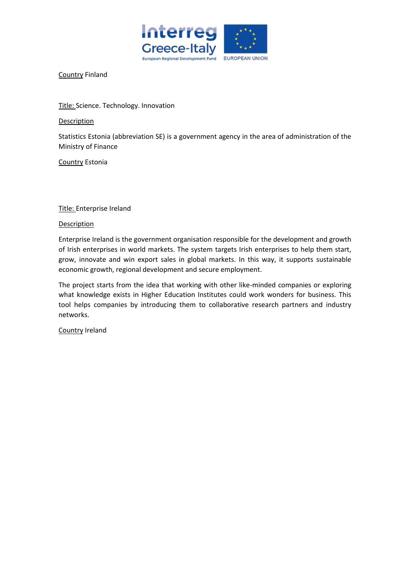

Country Finland

Title: Science. Technology. Innovation

Description

Statistics Estonia (abbreviation SE) is a government agency in the area of administration of the Ministry of Finance

Country Estonia

Title: Enterprise Ireland

## Description

Enterprise Ireland is the government organisation responsible for the development and growth of Irish enterprises in world markets. The system targets Irish enterprises to help them start, grow, innovate and win export sales in global markets. In this way, it supports sustainable economic growth, regional development and secure employment.

The project starts from the idea that working with other like-minded companies or exploring what knowledge exists in Higher Education Institutes could work wonders for business. This tool helps companies by introducing them to collaborative research partners and industry networks.

Country Ireland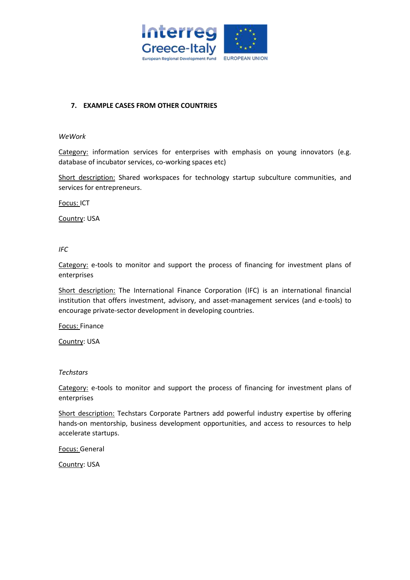

# **7. EXAMPLE CASES FROM OTHER COUNTRIES**

#### *WeWork*

Category: information services for enterprises with emphasis on young innovators (e.g. database of incubator services, co-working spaces etc)

Short description: Shared workspaces for technology startup subculture communities, and services for entrepreneurs.

Focus: ICT

Country: USA

*IFC*

Category: e-tools to monitor and support the process of financing for investment plans of enterprises

Short description: The International Finance Corporation (IFC) is an international financial institution that offers investment, advisory, and asset-management services (and e-tools) to encourage private-sector development in developing countries.

Focus: Finance

Country: USA

*Techstars*

Category: e-tools to monitor and support the process of financing for investment plans of enterprises

Short description: Techstars Corporate Partners add powerful industry expertise by offering hands-on mentorship, business development opportunities, and access to resources to help accelerate startups.

Focus: General

Country: USA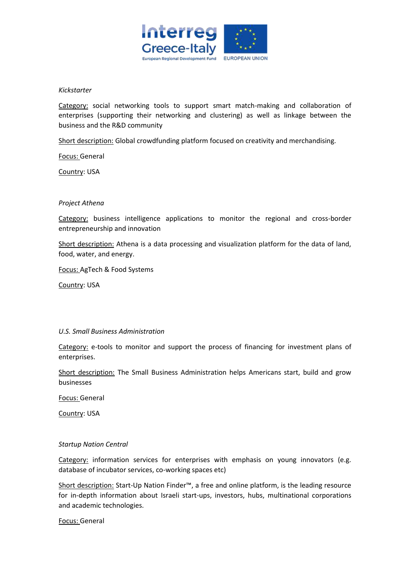

## *Kickstarter*

Category: social networking tools to support smart match-making and collaboration of enterprises (supporting their networking and clustering) as well as linkage between the business and the R&D community

Short description: Global crowdfunding platform focused on creativity and merchandising.

Focus: General

Country: USA

## *Project Athena*

Category: business intelligence applications to monitor the regional and cross-border entrepreneurship and innovation

Short description: Athena is a data processing and visualization platform for the data of land, food, water, and energy.

Focus: AgTech & Food Systems

Country: USA

## *U.S. Small Business Administration*

Category: e-tools to monitor and support the process of financing for investment plans of enterprises.

Short description: The Small Business Administration helps Americans start, build and grow businesses

Focus: General

Country: USA

## *Startup Nation Central*

Category: information services for enterprises with emphasis on young innovators (e.g. database of incubator services, co-working spaces etc)

Short description: Start-Up Nation Finder™, a free and online platform, is the leading resource for in-depth information about Israeli start-ups, investors, hubs, multinational corporations and academic technologies.

Focus: General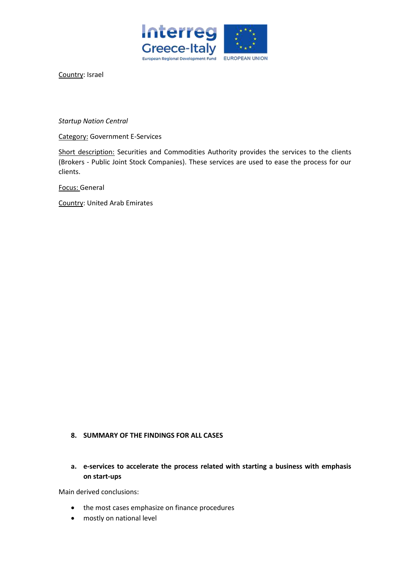

Country: Israel

*Startup Nation Central*

Category: Government E-Services

Short description: Securities and Commodities Authority provides the services to the clients (Brokers - Public Joint Stock Companies). These services are used to ease the process for our clients.

Focus: General

Country: United Arab Emirates

# **8. SUMMARY OF THE FINDINGS FOR ALL CASES**

**a. e-services to accelerate the process related with starting a business with emphasis on start-ups**

Main derived conclusions:

- the most cases emphasize on finance procedures
- mostly on national level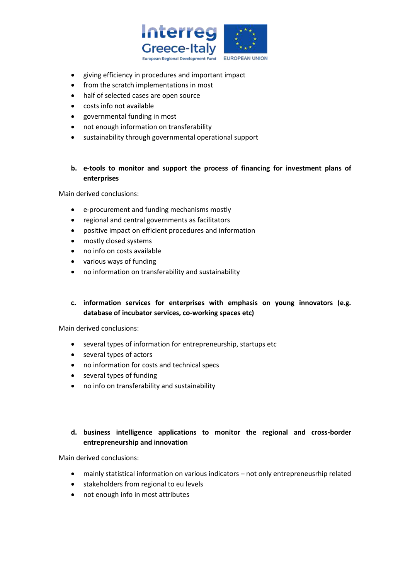

- giving efficiency in procedures and important impact
- from the scratch implementations in most
- half of selected cases are open source
- costs info not available
- governmental funding in most
- not enough information on transferability
- sustainability through governmental operational support

# **b. e-tools to monitor and support the process of financing for investment plans of enterprises**

Main derived conclusions:

- e-procurement and funding mechanisms mostly
- regional and central governments as facilitators
- positive impact on efficient procedures and information
- mostly closed systems
- no info on costs available
- various ways of funding
- no information on transferability and sustainability

# **c. information services for enterprises with emphasis on young innovators (e.g. database of incubator services, co-working spaces etc)**

Main derived conclusions:

- several types of information for entrepreneurship, startups etc
- several types of actors
- no information for costs and technical specs
- several types of funding
- no info on transferability and sustainability

# **d. business intelligence applications to monitor the regional and cross-border entrepreneurship and innovation**

Main derived conclusions:

- mainly statistical information on various indicators not only entrepreneusrhip related
- stakeholders from regional to eu levels
- not enough info in most attributes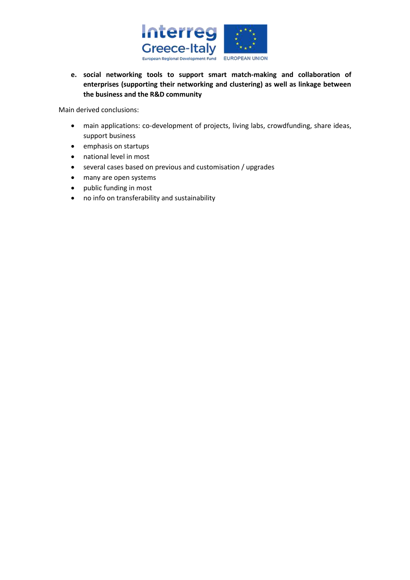

**e. social networking tools to support smart match-making and collaboration of enterprises (supporting their networking and clustering) as well as linkage between the business and the R&D community**

Main derived conclusions:

- main applications: co-development of projects, living labs, crowdfunding, share ideas, support business
- emphasis on startups
- national level in most
- several cases based on previous and customisation / upgrades
- many are open systems
- public funding in most
- no info on transferability and sustainability